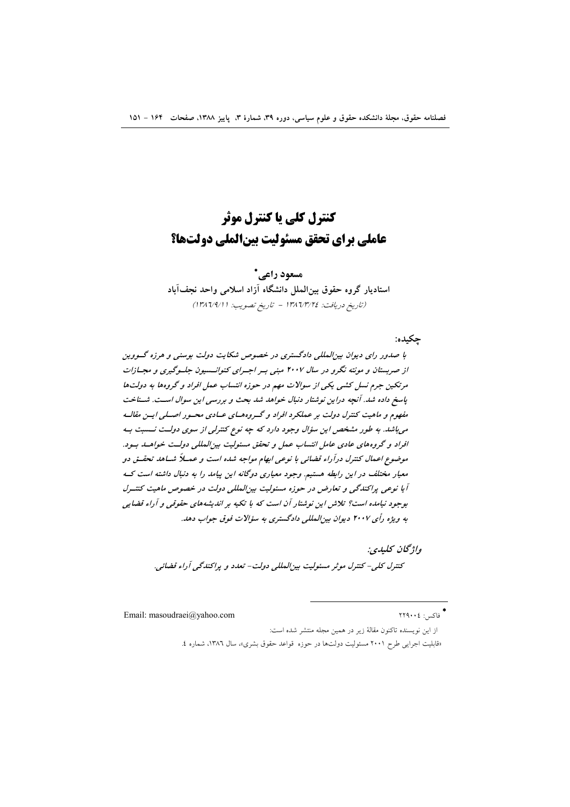# کنترل کلی یا کنترل موثر عاملي براي تحقق مسئوليت بينالملي دولتها؟

مسعود راعي\* استادیار گروه حقوق بین الملل دانشگاه آزاد اسلامی واحد نجفآباد (تاريخ دريافت: ١٣٨٦/٣/٢٤ - تاريخ تصويب: ١٣٨٦/٩/١)

حكىدە:

با صدور رای دیوان بین المللی دادگستری در خصوص شکایت دولت بوسنی و هرزه گووین از صربستان و مونته نگرو در سال ۲۰۰۷ مبنی بسر اجسرای کنوانسسیون جلسوگیری و مجسازات مرتکین جرم نسل کشی یکی از سوالات مهم در حوزه انتساب عمل افراد و گروهها به دولتها یاسغ داده شد. آنچه دراین نوشتار دنبال خواهد شد بحث و بررسی این سوال است. شـناخت مفهوم و ماهیت کنترل دولت بر عملکرد افراد و گـروههـای عـادی محـور اصـلی ایـن مقالـه می باشد. به طور مشخص این سؤال وجود دارد که چه نوع کنترلی از سوی دولت نسبت به افراد و گروههای عادی عامل انتساب عمل و تحقق مسئولیت بینالمللی دولت خواهـله بـود. موضوع اعمال کنترل درآراء قضائی با نوعی ابهام مواجه شده است و عمسلاً شساهد تحقسق دو معیار مختلف در این رابطه هستیم. وجود معیاری دوگانه این پیامد را به دنبال داشته است ک آیا نوعی پراکندگی و تعارض در حوزه مسئولیت بین المللی دولت در خصوص ماهیت کنتـرل بوجود نیامده است؟ تلاش این نوشتار آن است که با تکیه بر اندیشههای حقوقی و آراء قضایی به ویژه رأی ۲۰۰۷ دیوان بین المللی دادگستری به سؤالات فوق جواب دهد.

واۋىچان كىلىدى:

كنترل كلي- كنترل موثر مسئوليت بين المللي دولت- تعدد و پراكندگي آراء قضائي.

Email: masoudraei@yahoo.com

\*<br>فاکس: ٢٢٩٠٠٤

«قابلیت اجرایی طرح ۲۰۰۱ مسئولیت دولتها در حوزه قواعد حقوق بشری»، سال ۱۳۸۲، شماره ٤.

از این نویسنده تاکنون مقالهٔ زیر در همین مجله منتشر شده است: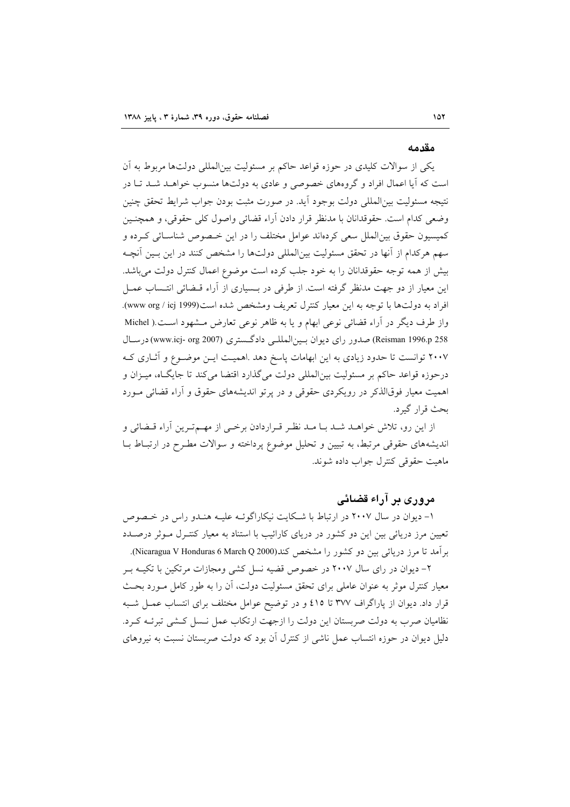#### مقدمه

یکی از سوالات کلیدی در حوزه قواعد حاکم بر مسئولیت بین|لمللی دولتها مربوط به آن است که آیا اعمال افراد و گروههای خصوصی و عادی به دولتها منسوب خواهـد شـد تـا در نتيجه مسئوليت بين|لمللي دولت بوجود أيد. در صورت مثبت بودن جواب شرايط تحقق چنين وضعي كدام است. حقوقدانان با مدنظر قرار دادن آراء قضائي واصول كلي حقوقي، و همچنـين كميسيون حقوق بين|لملل سعى كردهاند عوامل مختلف را در اين خـصوص شناسـائي كـرده و سهم هركدام از آنها در تحقق مسئوليت بين|لمللي دولتها را مشخص كنند در اين بـين آنچـه بیش از همه توجه حقوقدانان را به خود جلب کرده است موضوع اعمال کنترل دولت می باشد. این معیار از دو جهت مدنظر گرفته است. از طرفی در بــسیاری از آراء قــضائی انتــساب عمــل افراد به دولتها با توجه به این معیار کنترل تعریف ومشخص شده است(www org / icj 1999). واز طرف دیگر در آراء قضائی نوعی ابهام و یا به ظاهر نوعی تعارض مشهود است.( Michel Reisman 1996.p 258) صدور راي ديوان بـينالمللـي دادگـستري (www.icj- org 2007)درسـال ۲۰۰۷ توانست تا حدود زیادی به این ابهامات پاسخ دهد .اهمیت ایــن موضــوع و آثــاری کــه درحوزه قواعد حاکم بر مسئولیت بین|لمللی دولت میگذارد اقتضا میکند تا جایگـاه، میـزان و اهمیت معیار فوقالذکر در رویکردی حقوقی و در پرتو اندیشههای حقوق و آراء قضائی مـورد بحث قرار گیرد.

از این رو، تلاش خواهـد شـد بـا مـد نظـر قـراردادن برخـی از مهـمتـرین آراء قـضائی و اندیشههای حقوقی مرتبط، به تبیین و تحلیل موضوع پرداخته و سوالات مطـرح در ارتبــاط بــا ماهيت حقوقي كنترل جواب داده شوند.

# مروری پر آراء قضائی

۱- دیوان در سال ۲۰۰۷ در ارتباط با شکایت نیکاراگوئـه علیـه هنـدو راس در خـصوص تعیین مرز دریائی بین این دو کشور در دریای کارائیب با استناد به معیار کنتـرل مـوثر درصـدد بر آمد تا مرز دریائی بین دو کشور را مشخص کند(Nicaragua V Honduras 6 March Q 2000).

۲– دیوان در رای سال ۲۰۰۷ در خصوص قضیه نسل کشی ومجازات مرتکین با تکیـه بـر معیار کنترل موثر به عنوان عاملی برای تحقق مسئولیت دولت، آن را به طور کامل مـورد بحـث قرار داد. دیوان از پاراگراف ۳۷۷ تا ٤١٥ و در توضیح عوامل مختلف برای انتساب عمـل شـبه نظامیان صرب به دولت صربستان این دولت را ازجهت ارتکاب عمل نسل کشی تبرئـه کـرد. دلیل دیوان در حوزه انتساب عمل ناشی از کنترل آن بود که دولت صربستان نسبت به نیروهای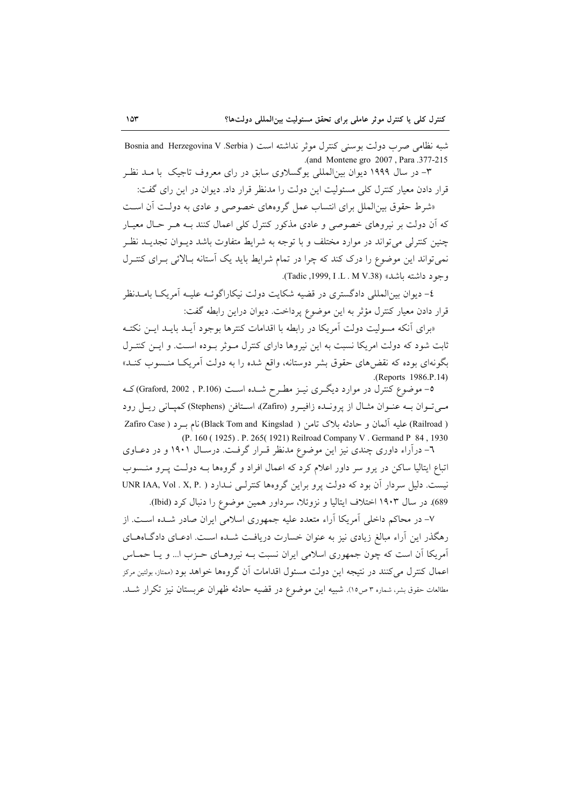شبه نظامی صرب دولت بوسنی کنترل موثر نداشته است ( Bosnia and Herzegovina V .Serbia .(and Montene gro 2007, Para .377-215

۳– در سال ۱۹۹۹ دیوان بینالمللی یوگسلاوی سابق در رای معروف تاجیک با مـد نظـ قرار دادن معیار کنترل کلی مسئولیت این دولت را مدنظر قرار داد. دیوان در این رای گفت:

«شرط حقوق بین الملل برای انتساب عمل گروههای خصوصی و عادی به دولت آن است که آن دولت بر نیروهای خصوصی و عادی مذکور کنترل کلی اعمال کنند بـه هـر حـال معیـار چنین کنترلی می تواند در موارد مختلف و با توجه به شرایط متفاوت باشد دیـوان تجدیــد نظـر نمی تواند این موضوع را درک کند که چرا در تمام شرایط باید یک آستانه بـالائی بـرای کنتـرل وجود داشته باشد» (Tadic ,1999, I .L . M V.38).

٤– ديوان بينالمللي دادگستري در قضيه شكايت دولت نيكاراگوئـه عليـه آمريكــا بامــدنظر قرار دادن معیار کنترل مؤثر به این موضوع پرداخت. دیوان دراین رابطه گفت:

«برای آنکه مسولیت دولت آمریکا در رابطه با اقدامات کنترها بوجود آیـد بایـد ایـن نکتـه ثابت شود که دولت امریکا نسبت به این نیروها دارای کنترل مـوثر بـوده اسـت. و ایـن کنتـرل .<br>بگونهای بوده که نقضهای حقوق بشر دوستانه، واقع شده را به دولت آمریکـا منــسوب کنــد» .(Reports 1986.P.14)

0– موضوع کنترل در موارد دیگــری نیــز مطــرح شـــده اســت (Graford, 2002 , P.106)کــه میتوان به عنوان مثال از پرونده زافیرو (Zafiro)، استافن (Stephens) کمپانی ریـل رود ( Railroad) عليه آلمان و حادثه بلاک تامن ( Black Tom and Kingslad) نام بـرد ( Zafiro Case (P. 160 (1925). P. 265 (1921) Reilroad Company V. Germand P 84, 1930

٦- درآراء داوری چندی نیز این موضوع مدنظر قـرار گرفـت. درسـال ١٩٠١ و در دعـاوی اتباع ایتالیا ساکن در پرو سر داور اعلام کرد که اعمال افراد و گروهها بـه دولـت پـرو منـسوب نیست. دلیل سردار آن بود که دولت پرو براین گروهها کنترلـی نـدارد ( .VNR IAA, Vol . X, P 689). در سال ۱۹۰۳ اختلاف ایتالیا و نزوئلا، سرداور همین موضوع را دنبال کرد (Ibid).

۷– در محاکم داخلی آمریکا آراء متعدد علیه جمهوری اسلامی ایران صادر شـده اسـت. از رهگذر این آراء مبالغ زیادی نیز به عنوان خسارت دریافت شـده اسـت. ادعـای دادگـاههـای آمریکا اَن است که چون جمهوری اسلامی ایران نسبت بـه نیروهـای حـزب ا... و یـا حمـاس اعمال کنترل می کنند در نتیجه این دولت مسئول اقدامات آن گروهها خواهد بود (ممتاز، بولتین مرکز مطالعات حقوق بشر، شماره ٣ ص١٥). شبيه اين موضوع در قضيه حادثه ظهران عربستان نيز تكرار شــد.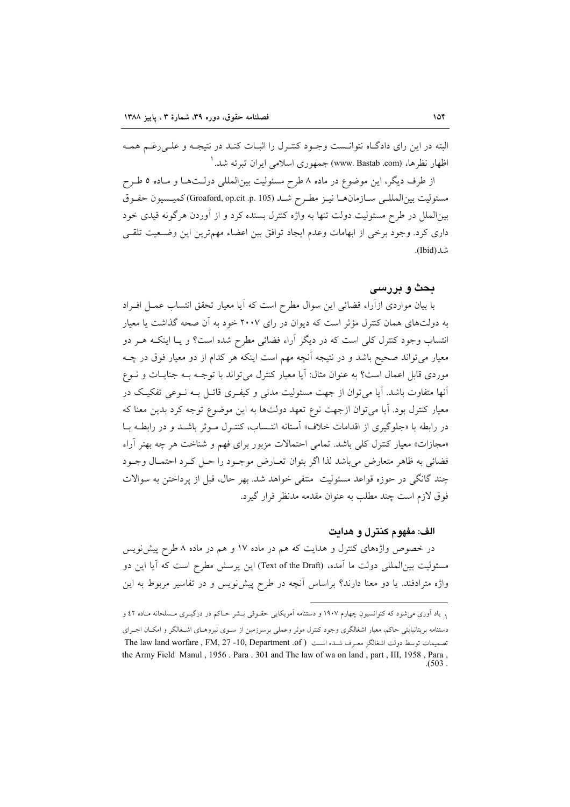البته در این رای دادگـاه نتوانـست وجـود کنتـرل را اثبـات کنـد در نتيجـه و علـی رغـم همـه اظهار نظرها، (www. Bastab .com) جمهوري اسلامي ايران تيرئه شد. '

از طرف دیگر، این موضوع در ماده ۸ طرح مسئولیت بین|لمللی دولـتهـا و مـاده ٥ طـرح مسئوليت بين|لمللـي سـازمانهـا نيـز مطـرح شـد (Groaford, op.cit .p. 105) كميـسيون حقـوق بین|لملل در طرح مسئولیت دولت تنها به واژه کنترل بسنده کرد و از آوردن هرگونه قیدی خود داری کرد. وجود برخی از ابهامات وعدم ایجاد توافق بین اعضاء مهمترین این وضـعیت تلقـی شد(Ibid).

# بحث و پررسي

با بیان مواردی ازآراء قضائی این سوال مطرح است که آیا معیار تحقق انتساب عمـل افـراد به دولتهای همان کنترل مؤثر است که دیوان در رای ۲۰۰۷ خود به آن صحه گذاشت یا معیار انتساب وجود کنترل کلی است که در دیگر آراء فضائی مطرح شده است؟ و یــا اینکــه هــر دو معیار می تواند صحیح باشد و در نتیجه آنچه مهم است اینکه هر کدام از دو معیار فوق در چــه موردي قابل اعمال است؟ به عنوان مثال: أيا معيار كنترل مي تواند با توجـه بــه جنايــات و نــوع آنها متفاوت باشد. آیا می توان از جهت مسئولیت مدنی و کیفـری قائـل بـه نـوعی تفکیـک در معیار کنترل بود. آیا میتوان ازجهت نوع تعهد دولتها به این موضوع توجه کرد بدین معنا که در رابطه با «جلوگیری از اقدامات خلاف» آستانه انتـساب، کنتـرل مـوثر باشـد و در رابطــه بــا «مجازات» معیار کنترل کلی باشد. تمامی احتمالات مزبور برای فهم و شناخت هر چه بهتر آراء قضائي به ظاهر متعارض مي باشد لذا اگر بتوان تعـارض موجـود را حـل كـرد احتمـال وجـود چند گانگی در حوزه قواعد مسئولیت ًمنتفی خواهد شد. بهر حال، قبل از یرداختن به سوالات فوق لازم است چند مطلب به عنوان مقدمه مدنظر قرار گیرد.

### الف: مفهوم كنترل و هدايت

در خصوص واژههای کنترل و هدایت که هم در ماده ۱۷ و هم در ماده ۸ طرح پیش نویس مسئولیت بین|لمللی دولت ما آمده، (Text of the Draft) این پرسش مطرح است که آیا این دو واژه مترادفند. یا دو معنا دارند؟ براساس آنچه در طرح پیش نویس و در تفاسیر مربوط به این

<sup>&</sup>lt;sub>۱</sub> یاد آوری می شود که کنوانسیون چهارم ۱۹۰۷ و دستنامه آمریکایی حقـوقی بــشر حـاکم در درگیــری مــسلحانه مــاده ٤٢ و دستنامه بریتانیایئی حاکم، معیار اشغالگری وجود کنترل موثر وعملی برسرزمین از سـوی نیروهـای اشـغالگر و امکـان اجـرای تصميمات توسط دولت اشغالگر معرف شيده است ( The law land worfare , FM, 27 -10, Department .of the Army Field Manul, 1956. Para. 301 and The law of wa on land, part, III, 1958, Para,  $(503)$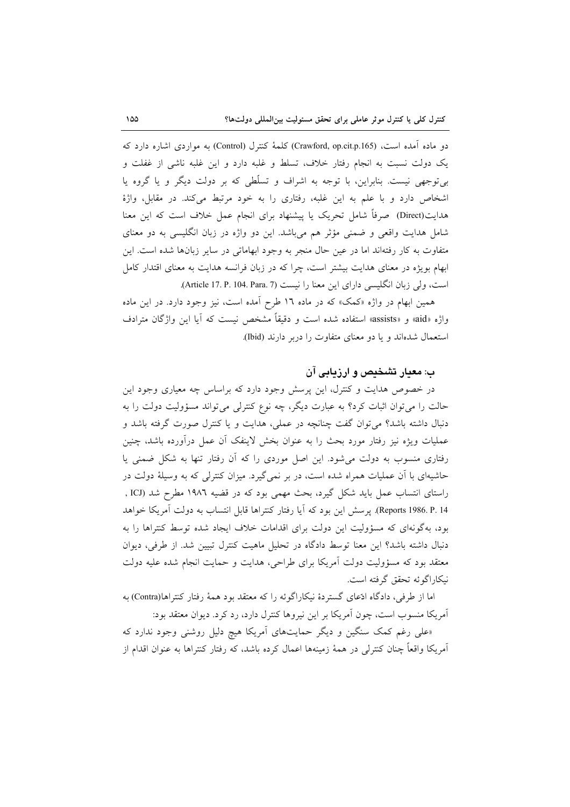دو ماده آمده است، (Crawford, op.cit.p.165) کلمهٔ کنترل (Control) به مواردی اشاره دارد که یک دولت نسبت به انجام رفتار خلاف، تسلط و غلبه دارد و این غلبه ناشی از غفلت و بی توجهی نیست. بنابراین، با توجه به اشراف و تسلّطی که بر دولت دیگر و یا گروه یا اشخاص دارد و با علم به این غلبه، رفتاری را به خود مرتبط میکند. در مقابل، واژهٔ هدایت(Direct) صرفاً شامل تحریک یا پیشنهاد برای انجام عمل خلاف است که این معنا شامل هدایت واقعی و ضمنی مؤثر هم میباشد. این دو واژه در زبان انگلیسی به دو معنای متفاوت به کار رفتهاند اما در عین حال منجر به وجود ابهاماتی در سایر زبانها شده است. این ابهام بویژه در معنای هدایت بیشتر است، چرا که در زبان فرانسه هدایت به معنای اقتدار کامل است، ولي زبان انگليسي داراي اين معنا را نيست (Article 17. P. 104. Para. 7).

همین ابهام در واژه «کمک» که در ماده ۱۲ طرح آمده است، نیز وجود دارد. در این ماده واژه «aid» و «assists» استفاده شده است و دقیقاً مشخص نیست که آیا این واژگان مترادف استعمال شدهاند و یا دو معنای متفاوت را دربر دارند (Ibid).

# ب: معیار تشخیص و ارزیابی آن

در خصوص هدایت و کنترل، این پرسش وجود دارد که براساس چه معیاری وجود این حالت را می توان اثبات کرد؟ به عبارت دیگر، چه نوع کنترلی می تواند مسؤولیت دولت را به دنبال داشته باشد؟ می توان گفت چنانچه در عملی، هدایت و یا کنترل صورت گرفته باشد و عملیات ویژه نیز رفتار مورد بحث را به عنوان بخش لاینفک آن عمل درآورده باشد، چنین رفتاری منسوب به دولت می شود. این اصل موردی را که آن رفتار تنها به شکل ضمنی یا حاشیهای با آن عملیات همراه شده است، در بر نمی گیرد. میزان کنترلی که به وسیلهٔ دولت در راستای انتساب عمل باید شکل گیرد، بحث مهمی بود که در قضیه ۱۹۸۲ مطرح شد (ICJ , Reports 1986. P. 14). پرسش این بود که آیا رفتار کنتراها قابل انتساب به دولت آمریکا خواهد بود، بهگونهای که مسؤولیت این دولت برای اقدامات خلاف ایجاد شده توسط کنتراها را به دنبال داشته باشد؟ این معنا توسط دادگاه در تحلیل ماهیت کنترل تبیین شد. از طرفی، دیوان معتقد بود که مسؤولیت دولت آمریکا برای طراحی، هدایت و حمایت انجام شده علیه دولت نيكاراگوئه تحقق گرفته است.

اما از طرفی، دادگاه ادّعای گستردهٔ نیکاراگوئه را که معتقد بود همهٔ رفتار کنتراها(Contra) به آمریکا منسوب است، چون آمریکا بر این نیروها کنترل دارد، رد کرد. دیوان معتقد بود:

«علی رغم کمک سنگین و دیگر حمایتهای اَمریکا هیچ دلیل روشنی وجود ندارد که آمریکا واقعاً چنان کنترلی در همهٔ زمینهها اعمال کرده باشد، که رفتار کنتراها به عنوان اقدام از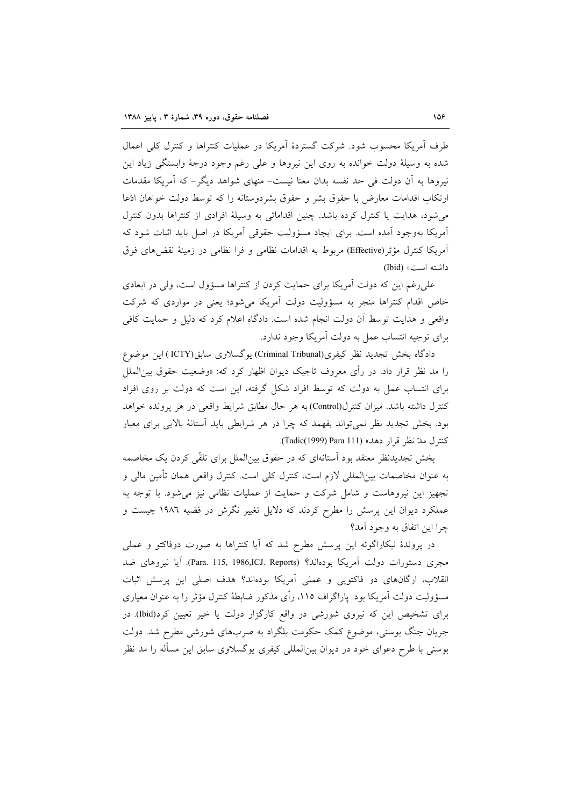طرف آمریکا محسوب شود. شرکت گستردهٔ آمریکا در عملیات کنتراها و کنترل کلی اعمال شده به وسیلهٔ دولت خوانده به روی این نیروها و علی رغم وجود درجهٔ وابستگی زیاد این نیروها به آن دولت فی حد نفسه بدان معنا نیست– منهای شواهد دیگر – که آمریکا مقدمات ارتکاب اقدامات معارض با حقوق بشر و حقوق بشردوستانه را که توسط دولت خواهان ادّعا می شود، هدایت یا کنترل کرده باشد. چنین اقداماتی به وسیلهٔ افرادی از کنتراها بدون کنترل آمریکا بهوجود آمده است. برای ایجاد مسؤولیت حقوقی آمریکا در اصل باید اثبات شود که آمریکا کنترل مؤثر(Effective) مربوط به اقدامات نظامی و فرا نظامی در زمینهٔ نقضهای فوق داشته است» (Ibid)

علی رغم این که دولت آمریکا برای حمایت کردن از کنتراها مسؤول است، ولی در ابعادی خاص اقدام کنتراها منجر به مسؤولیت دولت آمریکا می شود؛ یعنی در مواردی که شرکت واقعی و هدایت توسط آن دولت انجام شده است. دادگاه اعلام کرد که دلیل و حمایت کافی برای توجیه انتساب عمل به دولت أمریکا وجود ندارد.

دادگاه بخش تجدید نظر کیفری(Criminal Tribunal) یوگسلاوی سابق(ICTY) این موضوع را مد نظر قرار داد. در رأى معروف تاجيک ديوان اظهار کرد که: «وضعيت حقوق بين|لملل برای انتساب عمل به دولت که توسط افراد شکل گرفته، این است که دولت بر روی افراد كنترل داشته باشد. ميزان كنترل(Control) به هر حال مطابق شرايط واقعى در هر پرونده خواهد بود. بخش تجدید نظر نمیتواند بفهمد که چرا در هر شرایطی باید استانهٔ بالایی برای معیار كنترل مدّ نظر قرار دهد» (Tadic(1999) Para 111).

بخش تجدیدنظر معتقد بود استانهای که در حقوق بین|لملل برای تلقّی کردن یک مخاصمه به عنوان مخاصمات بین|لمللی لازم است، کنترل کلی است. کنترل واقعی همان تأمین مالی و تجهیز این نیروهاست و شامل شرکت و حمایت از عملیات نظامی نیز می شود. با توجه به عملکرد دیوان این پرسش را مطرح کردند که دلایل تغییر نگرش در قضیه ۱۹۸۲ چیست و چرا این اتفاق به وجود آمد؟

در پروندهٔ نیکاراگوئه این پرسش مطرح شد که آیا کنتراها به صورت دوفاکتو و عملی مجري دستورات دولت آمريكا بودهاند؟ (Para. 115, 1986,ICJ. Reports). آيا نيروهاي ضد انقلاب، ارگانهای دو فاکتویی و عملی آمریکا بودهاند؟ هدف اصلی این پرسش اثبات مسؤولیت دولت آمریکا بود. پاراگراف ۱۱۵، رأی مذکور ضابطهٔ کنترل مؤثر را به عنوان معیاری برای تشخیص این که نیروی شورشی در واقع کارگزار دولت یا خیر تعیین کرد(Ibid) در جریان جنگ بوسنی، موضوع کمک حکومت بلگراد به صربهای شورشی مطرح شد. دولت بوسنی با طرح دعوای خود در دیوان بین|لمللی کیفری یوگسلاوی سابق این مسأله را مد نظر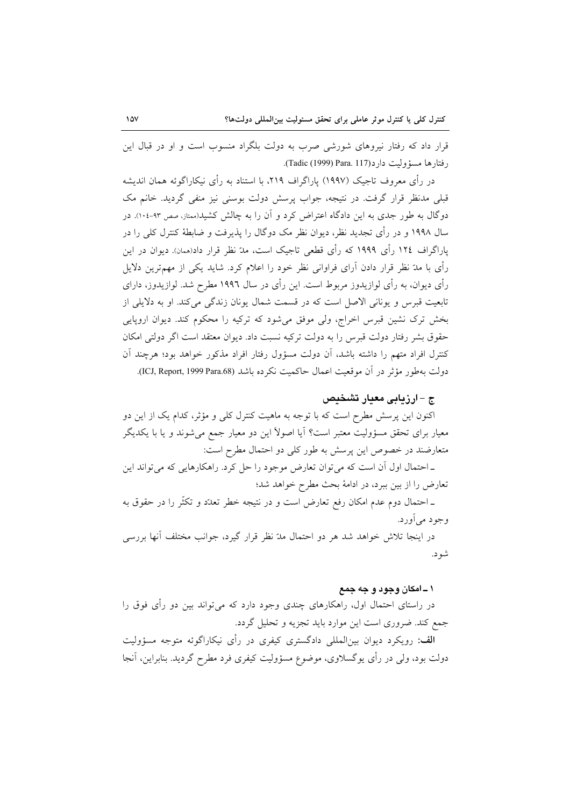قرار داد که رفتار نیروهای شورشی صرب به دولت بلگراد منسوب است و او در قبال این رفتارها مسؤوليت دارد(117 .Tadic (1999) Para).

در رأى معروف تاجيک (١٩٩٧) پاراگراف ٢١٩، با استناد به رأى نيکاراگوئه همان انديشه قبلی مدنظر قرار گرفت. در نتیجه، جواب پرسش دولت بوسنی نیز منفی گردید. خانم مک دوگال به طور جدی به این دادگاه اعتراض کرد و آن را به چالش کشید(ممتاز، صص ۹۳-۱۰٤). در سال ۱۹۹۸ و در رأی تجدید نظر، دیوان نظر مک دوگال را پذیرفت و ضابطهٔ کنترل کلی را در یاراگراف ۱۲٤ رأی ۱۹۹۹ که رأی قطعی تاجیک است، مدّ نظر قرار داد(ممان). دیوان در این رأی با مدّ نظر قرار دادن آرای فراوانی نظر خود را اعلام کرد. شاید یکی از مهمترین دلایل رأی دیوان، به رأی لوازیدوز مربوط است. این رأی در سال ۱۹۹٦ مطرح شد. لوازیدوز، دارای تابعیت قبرس و یونانی الاصل است که در قسمت شمال یونان زندگی می کند. او به دلایلی از بخش ترک نشین قبرس اخراج، ولی موفق می شود که ترکیه را محکوم کند. دیوان اروپایی حقوق بشر رفتار دولت قبرس را به دولت تركيه نسبت داد. ديوان معتقد است اگر دولتى امكان كنترل افراد متهم را داشته باشد، آن دولت مسؤول رفتار افراد مذكور خواهد بود؛ هرچند آن دولت به طور مؤثر در آن موقعیت اعمال حاکمیت نکرده باشد (ICJ, Report, 1999 Para.68).

### ج –ارزیابی معیار تشخیص

اکنون این پرسش مطرح است که با توجه به ماهیت کنترل کلی و مؤثر، کدام یک از این دو معیار برای تحقق مسؤولیت معتبر است؟ آیا اصولاً این دو معیار جمع میشوند و یا با یکدیگر متعارضند در خصوص این پرسش به طور کلی دو احتمال مطرح است:

ـ احتمال اول آن است كه مي توان تعارض موجود را حل كرد. راهكارهايي كه مي تواند اين تعارض را از بین ببرد، در ادامهٔ بحث مطرح خواهد شد؛

ـ احتمال دوم عدم امکان رفع تعارض است و در نتیجه خطر تعدّد و تکثّر را در حقوق به وجود ميأورد.

در اینجا تلاش خواهد شد هر دو احتمال مدّ نظر قرار گیرد، جوانب مختلف آنها بررسی شود.

### ۱ ــ امکان وجود و جه جمع

در راستای احتمال اول، راهکارهای چندی وجود دارد که می تواند بین دو رأی فوق را جمع کند. ضروری است این موارد باید تجزیه و تحلیل گردد.

الف: رویکرد دیوان بین المللی دادگستری کیفری در رأی نیکاراگوئه متوجه مسؤولیت دولت بود، ولی در رأی یوگسلاوی، موضوع مسؤولیت کیفری فرد مطرح گردید. بنابراین، آنجا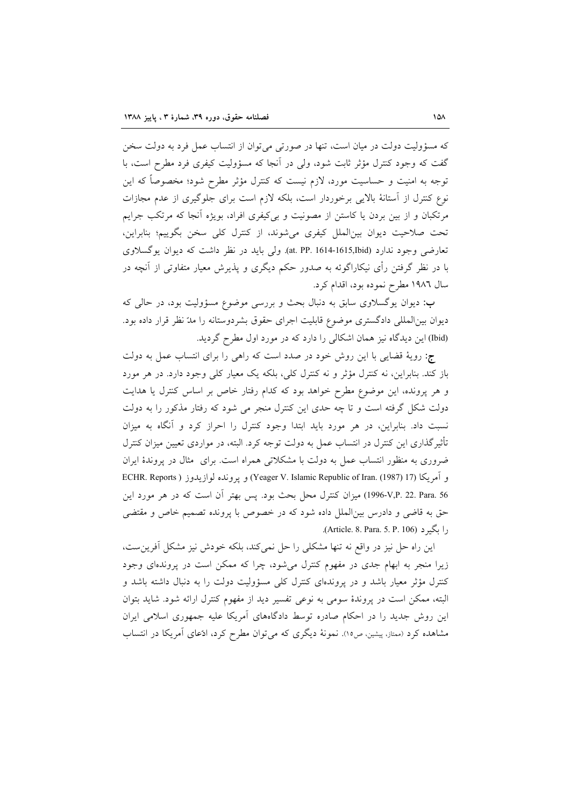که مسؤولیت دولت در میان است، تنها در صورتی می توان از انتساب عمل فرد به دولت سخن گفت که وجود کنترل مؤثر ثابت شود، ولی در أنجا که مسؤولیت کیفری فرد مطرح است، با توجه به امنیت و حساسیت مورد، لازم نیست که کنترل مؤثر مطرح شود؛ مخصوصاً که این نوع کنترل از آستانهٔ بالایی برخوردار است، بلکه لازم است برای جلوگیری از عدم مجازات مرتکبان و از بین بردن یا کاستن از مصونیت و بی کیفری افراد، بویژه آنجا که مرتکب جرایم تحت صلاحیت دیوان بین الملل کیفری می شوند، از کنترل کلی سخن بگوییم؛ بنابراین، تعارضی وجود ندارد (at. PP. 1614-1615,Ibid). ولی باید در نظر داشت که دیوان یوگسلاوی با در نظر گرفتن رأی نیکاراگوئه به صدور حکم دیگری و پذیرش معیار متفاوتی از آنچه در سال ١٩٨٦ مطرح نموده بود، اقدام كرد.

ب: دیوان یوگسلاوی سابق به دنبال بحث و بررسی موضوع مسؤولیت بود، در حالی که دیوان بینالمللی دادگستری موضوع قابلیت اجرای حقوق بشردوستانه را مدّ نظر قرار داده بود. (Ibid) این دیدگاه نیز همان اشکالی را دارد که در مورد اول مطرح گردید.

ج: رويهٔ قضايي با اين روش خود در صدد است كه راهي را براي انتساب عمل به دولت باز کند. بنابراین، نه کنترل مؤثر و نه کنترل کلی، بلکه یک معیار کلی وجود دارد. در هر مورد و هر پرونده، این موضوع مطرح خواهد بود که کدام رفتار خاص بر اساس کنترل یا هدایت دولت شکل گرفته است و تا چه حدی این کنترل منجر می شود که رفتار مذکور را به دولت نسبت داد. بنابراین، در هر مورد باید ابتدا وجود کنترل را احراز کرد و آنگاه به میزان تأثیرگذاری این کنترل در انتساب عمل به دولت توجه کرد. البته، در مواردی تعیین میزان کنترل ضروری به منظور انتساب عمل به دولت با مشکلاتی همراه است. برای ً مثال در پروندهٔ ایران و آمريكا (Yeager V. Islamic Republic of Iran. (1987) 17) و يرونده لوازيدوز ( ECHR. Reports L996-V,P. 22. Para. 56) ميزان كنترل محل بحث بود. پس بهتر أن است كه در هر مورد اين حق به قاضی و دادرس بینالملل داده شود که در خصوص با پرونده تصمیم خاص و مقتضی , ا یگیر د (Article. 8. Para. 5. P. 106).

این راه حل نیز در واقع نه تنها مشکلی را حل نمی کند، بلکه خودش نیز مشکل آفرین ست، زیرا منجر به ابهام جدی در مفهوم کنترل میشود، چرا که ممکن است در پروندهای وجود کنترل مؤثر معیار باشد و در پروندهای کنترل کلی مسؤولیت دولت را به دنبال داشته باشد و البته، ممکن است در پروندهٔ سومی به نوعی تفسیر دید از مفهوم کنترل ارائه شود. شاید بتوان این روش جدید را در احکام صادره توسط دادگاههای آمریکا علیه جمهوری اسلامی ایران مشاهده کرد (ممتاز، پیشین، ص۱۵). نمونهٔ دیگری که میتوان مطرح کرد، اذعای آمریکا در انتساب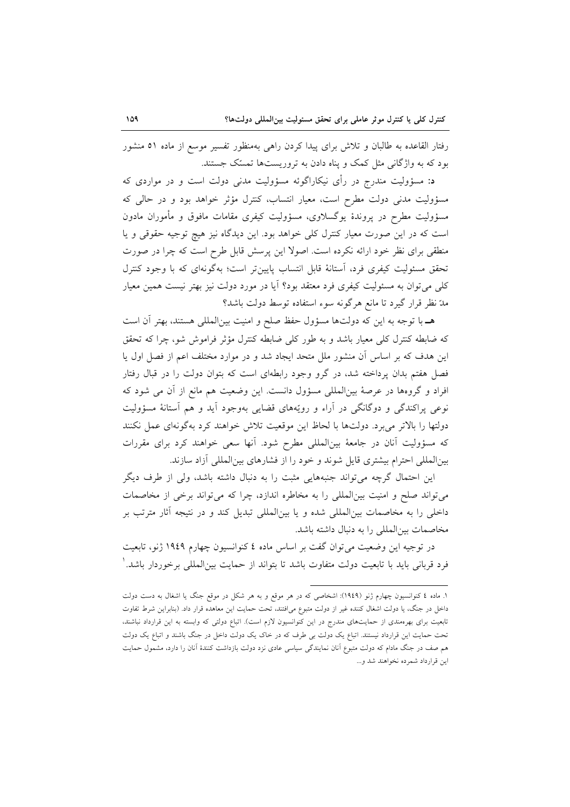رفتار القاعده به طالبان و تلاش برای پیدا کردن راهی بهمنظور تفسیر موسع از ماده ٥١ منشور بود که به واژگانی مثل کمک و پناه دادن به تروریستها تمسّک جستند.

د: مسؤولیت مندرج در رأی نیکاراگوئه مسؤولیت مدنی دولت است و در مواردی که مسؤولیت مدنی دولت مطرح است، معیار انتساب، کنترل مؤثر خواهد بود و در حالی که مسؤولیت مطرح در پروندهٔ یوگسلاوی، مسؤولیت کیفری مقامات مافوق و مأموران مادون است که در این صورت معیار کنترل کلی خواهد بود. این دیدگاه نیز هیچ توجیه حقوقی و یا منطقی برای نظر خود ارائه نکرده است. اصولا این پرسش قابل طرح است که چرا در صورت تحقق مسئولیت کیفری فرد، آستانهٔ قابل انتساب پایین تر است؛ بهگونهای که با وجود کنترل کلّی می توان به مسئولیت کیفری فرد معتقد بود؟ آیا در مورد دولت نیز بهتر نیست همین معیار مدّ نظر قرار گیرد تا مانع هرگونه سوء استفاده توسط دولت باشد؟

هـ با توجه به اين كه دولتها مسؤول حفظ صلح و امنيت بين|لمللي هستند، بهتر أن است که ضابطه کنترل کلی معیار باشد و به طور کلی ضابطه کنترل مؤثر فراموش شو، چرا که تحقق این هدف که بر اساس آن منشور ملل متحد ایجاد شد و در موارد مختلف اعم از فصل اول یا فصل هفتم بدان یرداخته شد، در گرو وجود رابطهای است که بتوان دولت را در قبال رفتار افراد و گروهها در عرصهٔ بین|لمللی مسؤول دانست. این وضعیت هم مانع از آن می شود که نوعی پراکندگی و دوگانگی در آراء و رویّههای قضایی بهوجود آید و هم آستانهٔ مسؤولیت دولتها را بالاتر مىبرد. دولتها با لحاظ اين موقعيت تلاش خواهند كرد بهگونهاى عمل نكنند که مسؤولیت آنان در جامعهٔ بینالمللی مطرح شود. آنها سعی خواهند کرد برای مقررات بینالمللی احترام بیشتری قایل شوند و خود را از فشارهای بینالمللی آزاد سازند.

این احتمال گرچه می تواند جنبههایی مثبت را به دنبال داشته باشد، ولی از طرف دیگر می تواند صلح و امنیت بینالمللی را به مخاطره اندازد، چرا که می تواند برخی از مخاصمات داخلی را به مخاصمات بین|لمللی شده و یا بین|لمللی تبدیل کند و در نتیجه آثار مترتب بر مخاصمات ببن المللي را به دنبال داشته باشد.

در توجیه این وضعیت می توان گفت بر اساس ماده ٤ کنوانسیون چهارم ١٩٤٩ ژنو، تابعیت فرد قربانی باید با تابعیت دولت متفاوت باشد تا بتواند از حمایت بین|لمللی برخوردار باشد. ٰ

۱. ماده ٤ کنوانسیون چهارم ژنو (۱۹٤۹): اشخاصی که در هر موقع و به هر شکل در موقع جنگ یا اشغال به دست دولت داخل در جنگ، یا دولت اشغال کننده غیر از دولت متبوع می|فتند، تحت حمایت این معاهده قرار داد. (بنابراین شرط تفاوت تابعیت برای بهرهمندی از حمایتهای مندرج در این کنوانسیون لازم است). اتباع دولتی که وابسته به این قرارداد نباشند، تحت حمایت این قرارداد نیستند. اتباع یک دولت بی طرف که در خاک یک دولت داخل در جنگ باشند و اتباع یک دولت هم صف در جنگ مادام که دولت متبوع آنان نمایندگی سیاسی عادی نزد دولت بازداشت کنندهٔ آنان را دارد، مشمول حمایت اين قرارداد شمرده نخواهند شد و...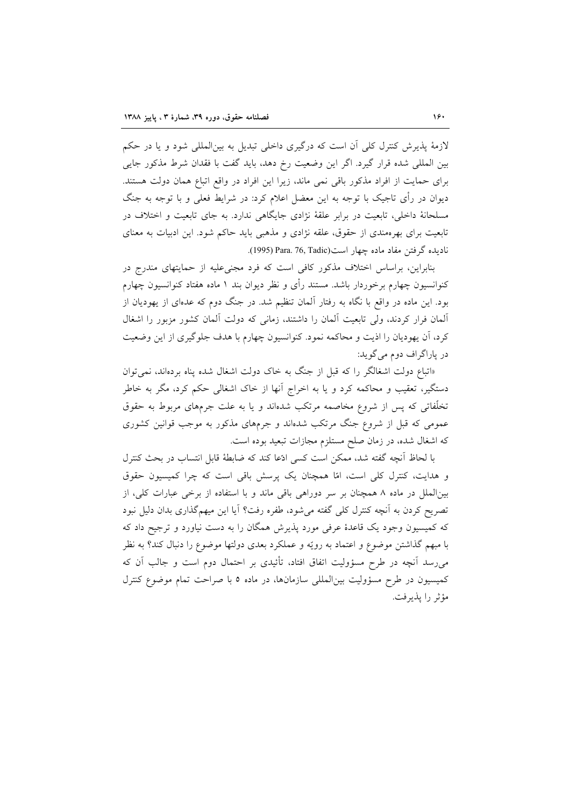لازمهٔ پذیرش کنترل کلّی آن است که درگیری داخلی تبدیل به بینالمللّی شود و یا در حکم بین المللی شده قرار گیرد. اگر این وضعیت رخ دهد، باید گفت با فقدان شرط مذکور جایی برای حمایت از افراد مذکور باقی نمی ماند، زیرا این افراد در واقع اتباع همان دولت هستند. دیوان در رأی تاجیک با توجه به این معضل اعلام کرد: در شرایط فعلی و با توجه به جنگ مسلحانهٔ داخلی، تابعیت در برابر علقهٔ نژادی جایگاهی ندارد. به جای تابعیت و اختلاف در تابعیت برای بهرهمندی از حقوق، علقه نژادی و مذهبی باید حاکم شود. این ادبیات به معنای ناديده گرفتن مفاد ماده چهار است(Para. 76, Tadic).

بنابراین، براساس اختلاف مذکور کافی است که فرد مجنی علیه از حمایتهای مندرج در کنوانسیون چهارم برخوردار باشد. مستند رأی و نظر دیوان بند ۱ ماده هفتاد کنوانسیون چهارم بود. این ماده در واقع با نگاه به رفتار آلمان تنظیم شد. در جنگ دوم که عدهای از یهودیان از آلمان فرار کردند، ولی تابعیت آلمان را داشتند، زمانی که دولت آلمان کشور مزبور را اشغال کرد، آن یهودیان را اذیت و محاکمه نمود. کنوانسیون چهارم با هدف جلوگیری از این وضعیت در ياراگراف دوم مي گويد:

«اتباع دولت اشغالگر را كه قبل از جنگ به خاك دولت اشغال شده پناه بردهاند، نمى توان دستگیر، تعقیب و محاکمه کرد و یا به اخراج آنها از خاک اشغالی حکم کرد، مگر به خاطر تخلّفاتی که پس از شروع مخاصمه مرتکب شدهاند و یا به علت جرمهای مربوط به حقوق عمومی که قبل از شروع جنگ مرتکب شدهاند و جرمهای مذکور به موجب قوانین کشوری که اشغال شده، در زمان صلح مستلزم مجازات تبعید بوده است.

با لحاظ أنچه گفته شد، ممكن است كسى ادّعا كند كه ضابطهٔ قابل انتساب در بحث كنترل و هدایت، کنترل کلی است، امّا همچنان یک پرسش باقی است که چرا کمیسیون حقوق بینالملل در ماده ۸ همچنان بر سر دوراهی باقی ماند و با استفاده از برخی عبارات کلی، از تصریح کردن به آنچه کنترل کلی گفته می شود، طفره رفت؟ آیا این میهمگذاری بدان دلیل نبود که کمیسیون وجود یک قاعدهٔ عرفی مورد پذیرش همگان را به دست نیاورد و ترجیح داد که با مبهم گذاشتن موضوع و اعتماد به رويّه و عملكرد بعدى دولتها موضوع را دنبال كند؟ به نظر می رسد آنچه در طرح مسؤولیت اتفاق افتاد، تأئیدی بر احتمال دوم است و جالب آن که کمیسیون در طرح مسؤولیت بین المللی سازمانها، در ماده ٥ با صراحت تمام موضوع کنترل مؤثر را يذيرفت.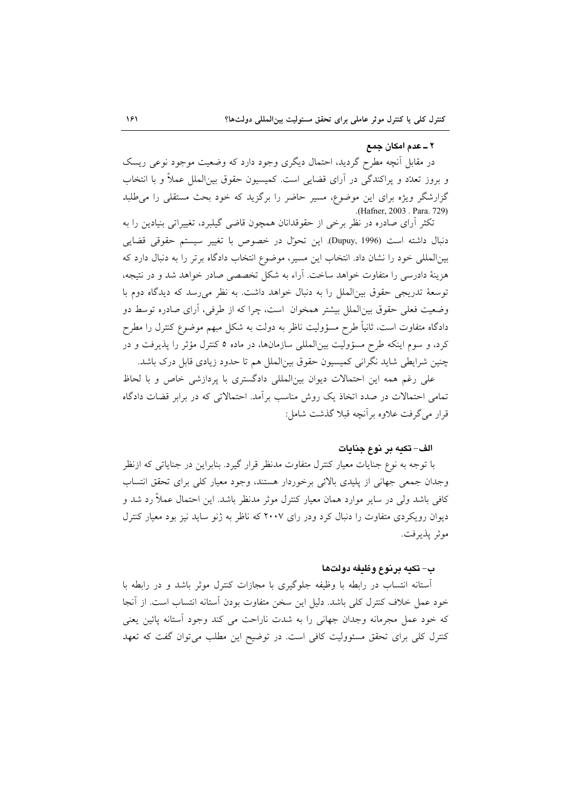#### ۲ ــ عدم امکان جمع

در مقابل آنچه مطرح گردید، احتمال دیگری وجود دارد که وضعیت موجود نوعی ریسک و بروز تعدّد و پراکندگی در اَرای قضایی است. کمیسیون حقوق بین|لملل عملاً و با انتخاب گزارشگر ویژه برای این موضوع، مسیر حاضر را برگزید که خود بحث مستقلی را می طلبد .(Hafner, 2003 . Para. 729)

تکثر آرای صادره در نظر برخی از حقوقدانان همچون قاضی گیلبرد، تغییراتی بنیادین را به دنبال داشته است (Dupuy, 1996). این تحوّل در خصوص با تغییر سیستم حقوقی قضایی بینالمللی خود را نشان داد. انتخاب این مسیر، موضوع انتخاب دادگاه برتر را به دنبال دارد که هزینهٔ دادرسی را متفاوت خواهد ساخت. آراء به شکل تخصصی صادر خواهد شد و در نتیجه، توسعهٔ تدریجی حقوق بین الملل را به دنبال خواهد داشت. به نظر می رسد که دیدگاه دوم با وضعیت فعلی حقوق بین|لملل بیشتر همخوان است، چرا که از طرفی، آرای صادره توسط دو دادگاه متفاوت است، ثانیاً طرح مسؤولیت ناظر به دولت به شکل مبهم موضوع کنترل را مطرح کرد، و سوم اینکه طرح مسؤولیت بینالمللی سازمانها، در ماده ٥ کنترل مؤثر را پذیرفت و در چنین شرایطی شاید نگرانی کمیسیون حقوق بین(لملل هم تا حدود زیادی قابل درک باشد.

علی رغم همه این احتمالات دیوان بین|لمللی دادگستری با پردازشی خاص و با لحاظ تمامی احتمالات در صدد اتخاذ یک روش مناسب برآمد. احتمالاتی که در برابر قضات دادگاه قرار مي گرفت علاوه بر آنچه قبلا گذشت شامل:

### الف– تكبه بر نوع جنابات

با توجه به نوع جنایات معیار کنترل متفاوت مدنظر قرار گیرد. بنابراین در جنایاتی که ازنظر وجدان جمعي جهاني از پليدى بالائى برخوردار هستند، وجود معيار كلي براى تحقق انتساب کافی باشد ولی در سایر موارد همان معیار کنترل موثر مدنظر باشد. این احتمال عملاً رد شد و دیوان رویکردی متفاوت را دنبال کرد ودر رای ۲۰۰۷ که ناظر به ژنو ساید نیز بود معیار کنترل موثر يذيرفت.

#### ب– تكيه برنوع وظيفه دولتها

آستانه انتساب در رابطه با وظیفه جلوگیری با مجازات کنترل موثر باشد و در رابطه با خود عمل خلاف کنترل کلی باشد. دلیل این سخن متفاوت بودن أستانه انتساب است. از اَنجا كه خود عمل مجرمانه وجدان جهاني را به شدت ناراحت مي كند وجود آستانه پائين يعني کنترل کلی برای تحقق مسئوولیت کافی است. در توضیح این مطلب می توان گفت که تعهد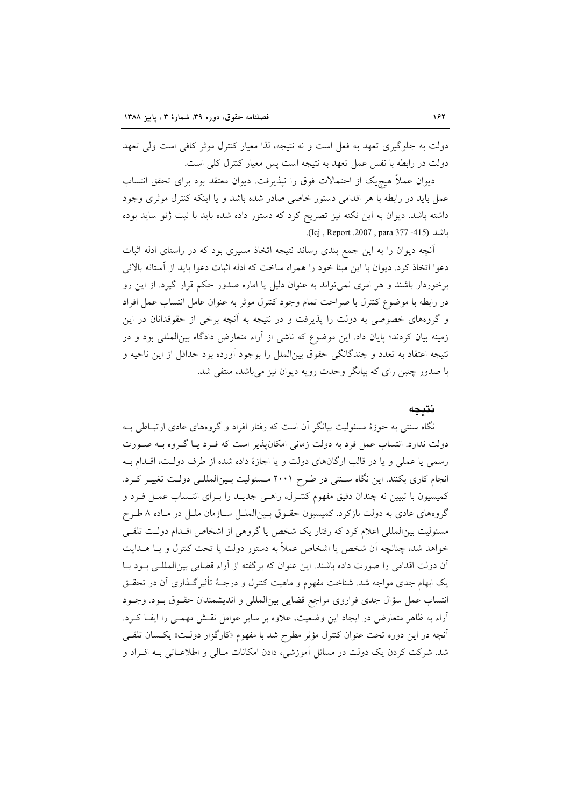دولت به جلوگیری تعهد به فعل است و نه نتیجه، لذا معیار کنترل موثر کافی است ولی تعهد دولت در رابطه با نفس عمل تعهد به نتيجه است پس معيار كنترل كلي است.

دیوان عملاً هیچیک از احتمالات فوق را نیذیرفت. دیوان معتقد بود برای تحقق انتساب عمل باید در رابطه با هر اقدامی دستور خاصی صادر شده باشد و یا اینکه کنترل موثری وجود داشته باشد. دیوان به این نکته نیز تصریح کرد که دستور داده شده باید با نیت ژنو ساید بوده باشد (Icj , Report .2007 , para 377 -415).

آنچه دیوان را به این جمع بندی رساند نتیجه اتخاذ مسیری بود که در راستای ادله اثبات دعوا اتخاذ کرد. دیوان با این مبنا خود را همراه ساخت که ادله اثبات دعوا باید از آستانه بالائی برخوردار باشند و هر امری نمیتواند به عنوان دلیل یا اماره صدور حکم قرار گیرد. از این رو در رابطه با موضوع كنترل با صراحت تمام وجود كنترل موثر به عنوان عامل انتساب عمل افراد و گروههای خصوصی به دولت را پذیرفت و در نتیجه به آنچه برخی از حقوقدانان در این زمینه بیان کردند؛ پایان داد. این موضوع که ناشی از آراء متعارض دادگاه بینالمللی بود و در نتيجه اعتقاد به تعدد و چندگانگي حقوق بينالملل را بوجود آورده بود حداقل از اين ناحيه و با صدور چنین رای که بیانگر وحدت رویه دیوان نیز میباشد، منتفی شد.

### نتىجە

نگاه سنتی به حوزهٔ مسئولیت بیانگر آن است که رفتار افراد و گروههای عادی ارتبـاطی بـه دولت ندارد. انتساب عمل فرد به دولت زمانی امکانپذیر است که فـرد یـا گـروه بـه صـورت رسمي يا عملي و يا در قالب ارگانهاي دولت و يا اجازهٔ داده شده از طرف دولت، اقـدام بـه انجام کاری بکنند. این نگاه ستقی در طرح ۲۰۰۱ مسئولیت بـینالمللـی دولـت تغییـر کـرد. كميسيون با تبيين نه چندان دقيق مفهوم كنتـرل، راهـي جديـد را بـراي انتـساب عمـل فـرد و گروههای عادی به دولت بازکرد. کمیسیون حقـوق بـینالملـل سـازمان ملـل در مـاده ۸ طـرح مسئولیت بین|لمللی اعلام کرد که رفتار یک شخص یا گروهی از اشخاص اقلدام دولت تلقـی خواهد شد، چنانچه آن شخص یا اشخاص عملاً به دستور دولت یا تحت کنترل و یـا هــدایت آن دولت اقدامی را صورت داده باشند. این عنوان که برگفته از آراء قضایی بین المللـی بـود بـا یک ابهام جدی مواجه شد. شناخت مفهوم و ماهیت کنترل و درجـهٔ تأثیر گـذاری آن در تحقــق انتساب عمل سؤال جدى فراروى مراجع قضايي بين المللي و انديشمندان حقـوق بـود. وجـود آراء به ظاهر متعارض در ایجاد این وضعیت، علاوه بر سایر عوامل نقـش مهمـی را ایفـا کـرد. آنچه در این دوره تحت عنوان کنترل مؤثر مطرح شد با مفهوم «کارگزار دولت» یکسان تلقبی شد. شرکت کردن یک دولت در مسائل آموزشی، دادن امکانات مـالی و اطلاعـاتی بـه افـراد و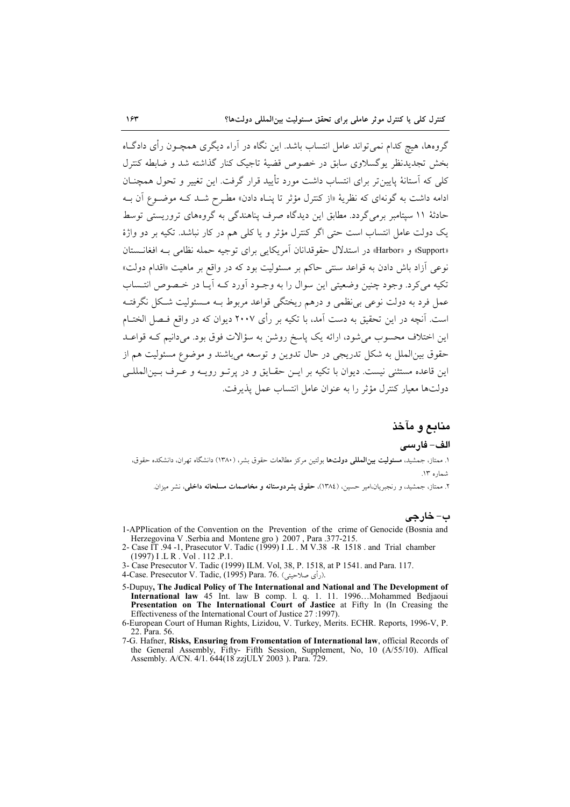گروهها، هیچ کدام نمی تواند عامل انتساب باشد. این نگاه در آراء دیگری همچـون رأی دادگــاه .<br>بخش تجدیدنفر بوگسلاوی سابق در خصوص قضیهٔ تاجیک کنار گذاشته شد و ضابطه کنترل کلی که آستانهٔ پایین تر برای انتساب داشت مورد تأیید قرار گرفت. این تغییر و تحول همچنــان ادامه داشت به گونهای که نظریهٔ «از کنترل مؤثر تا پنـاه دادن» مطـرح شــد کــه موضــوع آن بــه حادثهٔ ۱۱ سیتامبر برمی گردد. مطابق این دیدگاه صرف پناهندگی به گروههای تروریستی توسط يک دولت عامل انتساب است حتى اگر كنترل مؤثر و يا كلى هم در كار نباشد. تكيه بر دو واژهٔ «Support» و «Harbor» در استدلال حقوقدانان آمریکایی برای توجیه حمله نظامی بـه افغانــستان نوعي آزاد باش دادن به قواعد سنتي حاكم بر مسئوليت بود كه در واقع بر ماهيت «اقدام دولت» تکیه میکرد. وجود چنین وضعیتی این سوال را به وجـود آورد کـه آیـا در خـصوص انتـساب عمل فرد به دولت نوعی بی نظمی و درهم ریختگی قواعد مربوط بـه مـسئولیت شـکل نگرفتـه است. آنچه در این تحقیق به دست آمد، با تکیه بر رأی ۲۰۰۷ دیوان که در واقع فـصل الختـام این اختلاف محسوب می شود، ارائه یک پاسخ روشن به سؤالات فوق بود. میدانیم کـه قواعـد حقوق بين|لملل به شكل تدريجي در حال تدوين و توسعه مي!شند و موضوع مسئوليت هم از این قاعده مستثنی نیست. دیوان با تکیه بر ایـن حقـایق و در پرتـو رویـه و عـرف بـینالمللـی دولتها معيار كنترل مؤثر را به عنوان عامل انتساب عمل يذيرفت.

## منابع و مآخذ

#### الف– فارسى

۱. ممتاز، جمشید، مسئولیت بینالمللی دولتها بولتین مرکز مطالعات حقوق بشر، (۱۳۸۰) دانشگاه تهران، دانشکده حقوق، شماره ۱۳.

۲. ممتاز، جمشید، و رنجبریان،امیر حسین، (۱۳۸٤)، **حقوق بشردوستانه و مخاصمات مسلحانه داخل**ی، نشر میزان.

# ب- خارجي

- 1-APPlication of the Convention on the Prevention of the crime of Genocide (Bosnia and Herzegovina V. Serbia and Montene gro ) 2007, Para .377-215.<br>2- Case IT .94 -1, Prasecutor V. Tadic (1999) I.L. M V.38 -R 1518. and Trial chamber
- (1997) I.L.R. Vol. 112.P.1
- 3- Case Presecutor V. Tadic (1999) ILM. Vol, 38, P. 1518, at P 1541. and Para. 117.<br>4-Case. Presecutor V. Tadic, (1995) Para. 76. (رأى صلاحيتى).
- 
- 5-Dupuy, The Judical Policy of The International and National and The Development of International law 45 Int. law B comp. 1. q. 1. 11. 1996...Mohammed Bedjaoui<br>Presentation on The International Court of Jastice at Fifty In (In Creasing the Effectiveness of the International Court of Justice 27 :1997).
- 6-European Court of Human Rights, Lizidou, V. Turkey, Merits. ECHR. Reports, 1996-V, P. 22. Para. 56.
- 7-G. Hafner, Risks, Ensuring from Fromentation of International law, official Records of the General Assembly, Fifty- Fifth Session, Supplement, No, 10 (A/55/10). Affical Assembly. A/CN. 4/1. 644(18 zzjULY 2003). Para. 729.